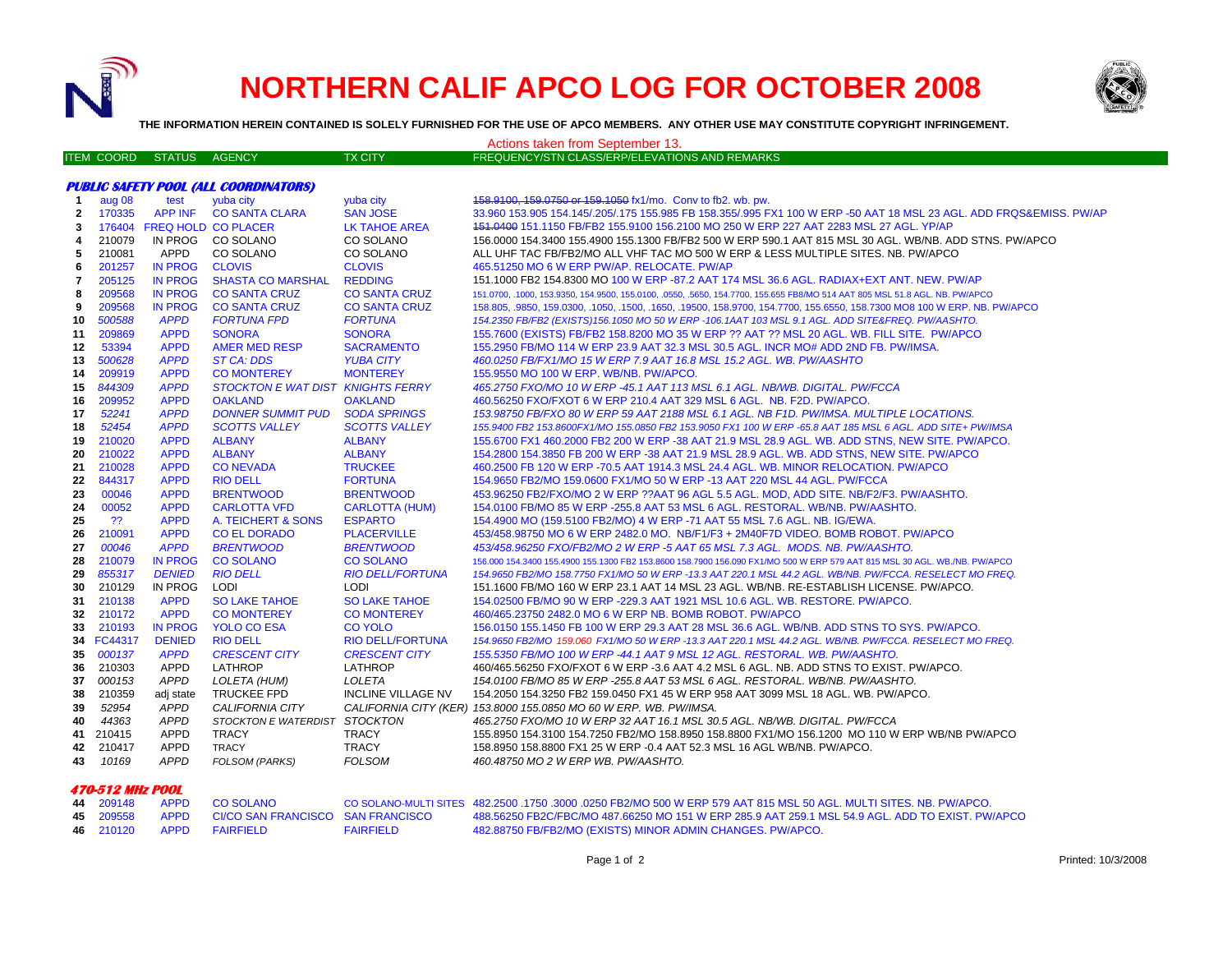

 **470-512 MHz POOL**

## **NORTHERN CALIF APCO LOG FOR OCTOBER 2008**



**THE INFORMATION HEREIN CONTAINED IS SOLELY FURNISHED FOR THE USE OF APCO MEMBERS. ANY OTHER USE MAY CONSTITUTE COPYRIGHT INFRINGEMENT.**

| Actions taken from September 13. |                   |                            |                                                  |                           |                                                                                                                                                 |  |  |  |
|----------------------------------|-------------------|----------------------------|--------------------------------------------------|---------------------------|-------------------------------------------------------------------------------------------------------------------------------------------------|--|--|--|
|                                  | <b>ITEM COORD</b> | <b>STATUS</b>              | <b>AGENCY</b>                                    | <b>TX CITY</b>            | FREQUENCY/STN CLASS/ERP/ELEVATIONS AND REMARKS                                                                                                  |  |  |  |
|                                  |                   |                            |                                                  |                           |                                                                                                                                                 |  |  |  |
|                                  |                   |                            | <b>PUBLIC SAFETY POOL (ALL COORDINATORS)</b>     |                           |                                                                                                                                                 |  |  |  |
| -1                               | aug 08            | test                       | yuba city                                        | yuba city                 | 458.9100, 159.0750 or 159.1050 fx1/mo. Conv to fb2. wb. pw.                                                                                     |  |  |  |
| $\mathbf{2}$                     | 170335            | <b>APP INF</b>             | <b>CO SANTA CLARA</b>                            | <b>SAN JOSE</b>           | 33.960 153.905 154.145/.205/.175 155.985 FB 158.355/.995 FX1 100 W ERP -50 AAT 18 MSL 23 AGL. ADD FRQS&EMISS. PW/AP                             |  |  |  |
| 3                                | 176404            |                            | <b>FREQ HOLD CO PLACER</b>                       | LK TAHOE AREA             | 151.0400 151.1150 FB/FB2 155.9100 156.2100 MO 250 W ERP 227 AAT 2283 MSL 27 AGL. YP/AP                                                          |  |  |  |
| 4                                | 210079            | IN PROG                    | CO SOLANO                                        | CO SOLANO                 | 156,0000 154,3400 155,4900 155,1300 FB/FB2 500 W ERP 590.1 AAT 815 MSL 30 AGL, WB/NB, ADD STNS, PW/APCO                                         |  |  |  |
| 5                                | 210081            | APPD                       | CO SOLANO                                        | CO SOLANO                 | ALL UHF TAC FB/FB2/MO ALL VHF TAC MO 500 W ERP & LESS MULTIPLE SITES. NB. PW/APCO                                                               |  |  |  |
| 6                                | 201257            | <b>IN PROG</b>             | <b>CLOVIS</b>                                    | <b>CLOVIS</b>             | 465.51250 MO 6 W ERP PW/AP. RELOCATE. PW/AP                                                                                                     |  |  |  |
| $\overline{7}$                   | 205125            | <b>IN PROG</b>             | <b>SHASTA CO MARSHAL</b>                         | <b>REDDING</b>            | 151.1000 FB2 154.8300 MO 100 W ERP -87.2 AAT 174 MSL 36.6 AGL. RADIAX+EXT ANT. NEW. PW/AP                                                       |  |  |  |
| 8                                | 209568            | <b>IN PROG</b>             | <b>CO SANTA CRUZ</b>                             | <b>CO SANTA CRUZ</b>      | 151.0700, .1000, 153.9350, 154.9500, 155.0100, .0550, .5650, 154.7700, 155.655 FB8/MO 514 AAT 805 MSL 51.8 AGL. NB. PW/APCO                     |  |  |  |
| 9                                | 209568            | <b>IN PROG</b>             | <b>CO SANTA CRUZ</b>                             | <b>CO SANTA CRUZ</b>      | 158.805, .9850, 159.0300, .1050, .1500, .1650, .19500, 158.9700, 154.7700, 155.6550, 158.7300 MO8 100 W ERP. NB. PW/APCO                        |  |  |  |
| 10                               | 500588            | <b>APPD</b>                | <b>FORTUNA FPD</b>                               | <b>FORTUNA</b>            | 154.2350 FB/FB2 (EXISTS)156.1050 MO 50 W ERP -106.1AAT 103 MSL 9.1 AGL. ADD SITE&FREQ. PW/AASHTO.                                               |  |  |  |
| 11                               | 209869            | <b>APPD</b>                | <b>SONORA</b>                                    | <b>SONORA</b>             | 155.7600 (EXISTS) FB/FB2 158.8200 MO 35 W ERP ?? AAT ?? MSL 20 AGL. WB. FILL SITE. PW/APCO                                                      |  |  |  |
| 12                               | 53394             | <b>APPD</b>                | <b>AMER MED RESP</b>                             | <b>SACRAMENTO</b>         | 155.2950 FB/MO 114 W ERP 23.9 AAT 32.3 MSL 30.5 AGL. INCR MO# ADD 2ND FB. PW/IMSA.                                                              |  |  |  |
| 13                               | 500628            | <b>APPD</b>                | <b>ST CA: DDS</b>                                | <b>YUBA CITY</b>          | 460.0250 FB/FX1/MO 15 W ERP 7.9 AAT 16.8 MSL 15.2 AGL. WB. PW/AASHTO                                                                            |  |  |  |
| 14                               | 209919            | <b>APPD</b>                | <b>CO MONTEREY</b>                               | <b>MONTEREY</b>           | 155.9550 MO 100 W ERP. WB/NB. PW/APCO.                                                                                                          |  |  |  |
| 15                               | 844309            | <b>APPD</b>                | STOCKTON E WAT DIST KNIGHTS FERRY                |                           | 465.2750 FXO/MO 10 W ERP -45.1 AAT 113 MSL 6.1 AGL. NB/WB. DIGITAL. PW/FCCA                                                                     |  |  |  |
| 16                               | 209952            | <b>APPD</b>                | <b>OAKLAND</b>                                   | <b>OAKLAND</b>            | 460.56250 FXO/FXOT 6 W ERP 210.4 AAT 329 MSL 6 AGL. NB. F2D. PW/APCO.                                                                           |  |  |  |
| 17                               | 52241             | <b>APPD</b>                | <b>DONNER SUMMIT PUD</b>                         | <b>SODA SPRINGS</b>       | 153.98750 FB/FXO 80 W ERP 59 AAT 2188 MSL 6.1 AGL. NB F1D. PW/IMSA. MULTIPLE LOCATIONS.                                                         |  |  |  |
| 18                               | 52454             | <b>APPD</b>                | <b>SCOTTS VALLEY</b>                             | <b>SCOTTS VALLEY</b>      | 155.9400 FB2 153.8600FX1/MO 155.0850 FB2 153.9050 FX1 100 W ERP -65.8 AAT 185 MSL 6 AGL. ADD SITE+ PW/IMSA                                      |  |  |  |
| 19                               | 210020            | <b>APPD</b>                | <b>ALBANY</b>                                    | <b>ALBANY</b>             | 155.6700 FX1 460.2000 FB2 200 W ERP -38 AAT 21.9 MSL 28.9 AGL. WB. ADD STNS, NEW SITE. PW/APCO.                                                 |  |  |  |
| 20                               | 210022            | <b>APPD</b>                | <b>ALBANY</b>                                    | <b>ALBANY</b>             | 154.2800 154.3850 FB 200 W ERP -38 AAT 21.9 MSL 28.9 AGL. WB. ADD STNS, NEW SITE. PW/APCO                                                       |  |  |  |
| 21                               | 210028            | <b>APPD</b>                | <b>CONEVADA</b>                                  | <b>TRUCKEE</b>            | 460.2500 FB 120 W ERP -70.5 AAT 1914.3 MSL 24.4 AGL, WB, MINOR RELOCATION, PW/APCO                                                              |  |  |  |
| 22                               | 844317            | <b>APPD</b>                | <b>RIO DELL</b>                                  | <b>FORTUNA</b>            | 154,9650 FB2/MO 159,0600 FX1/MO 50 W ERP -13 AAT 220 MSL 44 AGL. PW/FCCA                                                                        |  |  |  |
| 23                               | 00046             | <b>APPD</b>                | <b>BRENTWOOD</b>                                 | <b>BRENTWOOD</b>          | 453.96250 FB2/FXO/MO 2 W ERP ??AAT 96 AGL 5.5 AGL. MOD, ADD SITE. NB/F2/F3. PW/AASHTO.                                                          |  |  |  |
| 24                               | 00052             | <b>APPD</b>                | <b>CARLOTTA VFD</b>                              | CARLOTTA (HUM)            | 154.0100 FB/MO 85 W ERP -255.8 AAT 53 MSL 6 AGL. RESTORAL. WB/NB. PW/AASHTO.                                                                    |  |  |  |
| 25                               | ??                | <b>APPD</b>                | A. TEICHERT & SONS                               | <b>ESPARTO</b>            | 154.4900 MO (159.5100 FB2/MO) 4 W ERP -71 AAT 55 MSL 7.6 AGL. NB. IG/EWA.                                                                       |  |  |  |
| 26                               | 210091            | <b>APPD</b>                | <b>CO EL DORADO</b>                              | <b>PLACERVILLE</b>        | 453/458.98750 MO 6 W ERP 2482.0 MO. NB/F1/F3 + 2M40F7D VIDEO. BOMB ROBOT. PW/APCO                                                               |  |  |  |
| 27                               | 00046             | <b>APPD</b>                | <b>BRENTWOOD</b>                                 | <b>BRENTWOOD</b>          | 453/458.96250 FXO/FB2/MO 2 W ERP -5 AAT 65 MSL 7.3 AGL. MODS. NB. PW/AASHTO.                                                                    |  |  |  |
| 28                               | 210079            | <b>IN PROG</b>             | <b>CO SOLANO</b>                                 | <b>CO SOLANO</b>          | 156.000 154.3400 155.4900 155.1300 FB2 153.8600 158.7900 156.090 FX1/MO 500 W ERP 579 AAT 815 MSL 30 AGL. WB./NB. PW/APCO                       |  |  |  |
| 29                               | 855317            | <b>DENIED</b>              | <b>RIO DELL</b>                                  | <b>RIO DELL/FORTUNA</b>   | 154.9650 FB2/MO 158.7750 FX1/MO 50 W ERP -13.3 AAT 220.1 MSL 44.2 AGL. WB/NB. PW/FCCA. RESELECT MO FREQ.                                        |  |  |  |
| 30                               | 210129            | IN PROG                    | LODI                                             | <b>LODI</b>               | 151.1600 FB/MO 160 W ERP 23.1 AAT 14 MSL 23 AGL. WB/NB. RE-ESTABLISH LICENSE. PW/APCO.                                                          |  |  |  |
| 31                               | 210138            | <b>APPD</b>                | <b>SO LAKE TAHOE</b>                             | <b>SO LAKE TAHOE</b>      | 154.02500 FB/MO 90 W ERP -229.3 AAT 1921 MSL 10.6 AGL. WB. RESTORE. PW/APCO.                                                                    |  |  |  |
| 32                               | 210172            | <b>APPD</b>                | <b>CO MONTEREY</b>                               | <b>CO MONTEREY</b>        | 460/465.23750 2482.0 MO 6 W ERP NB. BOMB ROBOT. PW/APCO                                                                                         |  |  |  |
| 33                               | 210193            | <b>IN PROG</b>             | <b>YOLO CO ESA</b>                               | <b>CO YOLO</b>            | 156.0150 155.1450 FB 100 W ERP 29.3 AAT 28 MSL 36.6 AGL. WB/NB. ADD STNS TO SYS. PW/APCO.                                                       |  |  |  |
|                                  | 34 FC44317        | <b>DENIED</b>              | <b>RIO DELL</b>                                  | <b>RIO DELL/FORTUNA</b>   | 154.9650 FB2/MO 159.060 FX1/MO 50 W ERP -13.3 AAT 220.1 MSL 44.2 AGL. WB/NB. PW/FCCA. RESELECT MO FREQ.                                         |  |  |  |
| 35                               | 000137            | <b>APPD</b>                | <b>CRESCENT CITY</b>                             | <b>CRESCENT CITY</b>      | 155.5350 FB/MO 100 W ERP -44.1 AAT 9 MSL 12 AGL. RESTORAL. WB. PW/AASHTO.                                                                       |  |  |  |
| 36                               | 210303            | APPD                       | LATHROP                                          | <b>LATHROP</b>            | 460/465.56250 FXO/FXOT 6 W ERP -3.6 AAT 4.2 MSL 6 AGL. NB. ADD STNS TO EXIST. PW/APCO.                                                          |  |  |  |
| 37                               | 000153<br>210359  | <b>APPD</b>                | LOLETA (HUM)<br><b>TRUCKEE FPD</b>               | LOLETA                    | 154.0100 FB/MO 85 W ERP -255.8 AAT 53 MSL 6 AGL. RESTORAL. WB/NB. PW/AASHTO.                                                                    |  |  |  |
| 38                               |                   | adj state                  |                                                  | <b>INCLINE VILLAGE NV</b> | 154.2050 154.3250 FB2 159.0450 FX1 45 W ERP 958 AAT 3099 MSL 18 AGL. WB. PW/APCO.                                                               |  |  |  |
| 39<br>40                         | 52954<br>44363    | <b>APPD</b><br><b>APPD</b> | CALIFORNIA CITY<br>STOCKTON E WATERDIST STOCKTON |                           | CALIFORNIA CITY (KER) 153.8000 155.0850 MO 60 W ERP. WB. PW/IMSA.<br>465.2750 FXO/MO 10 W ERP 32 AAT 16.1 MSL 30.5 AGL. NB/WB. DIGITAL. PW/FCCA |  |  |  |
|                                  | 210415            | APPD                       | <b>TRACY</b>                                     | <b>TRACY</b>              | 155.8950 154.3100 154.7250 FB2/MO 158.8950 158.8800 FX1/MO 156.1200 MO 110 W ERP WB/NB PW/APCO                                                  |  |  |  |
| 41<br>42                         | 210417            | <b>APPD</b>                | <b>TRACY</b>                                     | <b>TRACY</b>              | 158.8950 158.8800 FX1 25 W ERP -0.4 AAT 52.3 MSL 16 AGL WB/NB. PW/APCO.                                                                         |  |  |  |
| 43                               | 10169             | <b>APPD</b>                | FOLSOM (PARKS)                                   | <b>FOLSOM</b>             | 460.48750 MO 2 W ERP WB. PW/AASHTO.                                                                                                             |  |  |  |
|                                  |                   |                            |                                                  |                           |                                                                                                                                                 |  |  |  |

| _________________________ |  |  |                                                  |                  |                                                                                                                    |  |  |  |  |  |
|---------------------------|--|--|--------------------------------------------------|------------------|--------------------------------------------------------------------------------------------------------------------|--|--|--|--|--|
|                           |  |  | 44 209148 APPD COSOLANO                          |                  | CO SOLANO-MULTI SITES 482.2500 .1750 .3000 .0250 FB2/MO 500 W ERP 579 AAT 815 MSL 50 AGL. MULTI SITES, NB, PW/APCO |  |  |  |  |  |
|                           |  |  | 45 209558 APPD CI/CO SAN FRANCISCO SAN FRANCISCO |                  | 488.56250 FB2C/FBC/MO 487.66250 MO 151 W ERP 285.9 AAT 259.1 MSL 54.9 AGL. ADD TO EXIST. PW/APCO                   |  |  |  |  |  |
|                           |  |  | 46 210120 APPD FAIRFIELD                         | <b>FAIRFIELD</b> | 482.88750 FB/FB2/MO (EXISTS) MINOR ADMIN CHANGES. PW/APCO.                                                         |  |  |  |  |  |